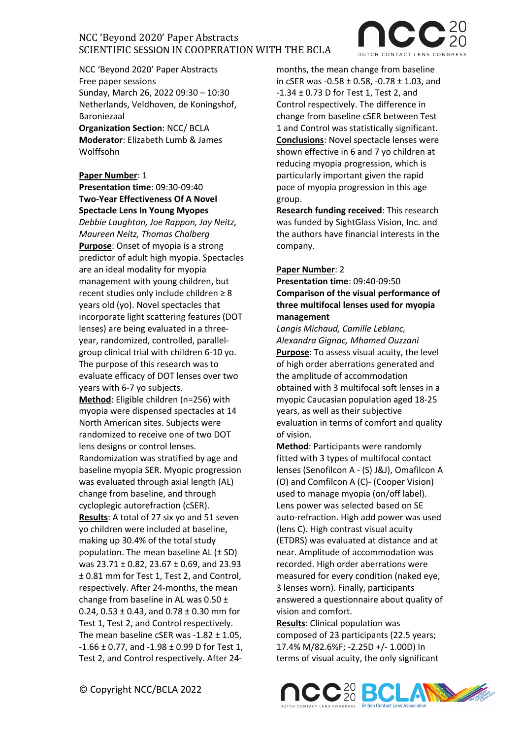

NCC 'Beyond 2020' Paper Abstracts Free paper sessions Sunday, March 26, 2022 09:30 – 10:30 Netherlands, Veldhoven, de Koningshof, Baroniezaal

**Organization Section**: NCC/ BCLA **Moderator**: Elizabeth Lumb & James Wolffsohn

#### **Paper Number**: 1

**Presentation time**: 09:30-09:40 **Two-Year Effectiveness Of A Novel Spectacle Lens In Young Myopes** *Debbie Laughton, Joe Rappon, Jay Neitz, Maureen Neitz, Thomas Chalberg*  **Purpose**: Onset of myopia is a strong predictor of adult high myopia. Spectacles are an ideal modality for myopia management with young children, but recent studies only include children ≥ 8 years old (yo). Novel spectacles that incorporate light scattering features (DOT lenses) are being evaluated in a three-

year, randomized, controlled, parallelgroup clinical trial with children 6-10 yo. The purpose of this research was to evaluate efficacy of DOT lenses over two years with 6-7 yo subjects.

**Method**: Eligible children (n=256) with myopia were dispensed spectacles at 14 North American sites. Subjects were randomized to receive one of two DOT lens designs or control lenses. Randomization was stratified by age and baseline myopia SER. Myopic progression was evaluated through axial length (AL) change from baseline, and through cycloplegic autorefraction (cSER). **Results**: A total of 27 six yo and 51 seven yo children were included at baseline, making up 30.4% of the total study population. The mean baseline AL (± SD) was 23.71 ± 0.82, 23.67 ± 0.69, and 23.93 ± 0.81 mm for Test 1, Test 2, and Control, respectively. After 24-months, the mean change from baseline in AL was  $0.50 \pm$ 0.24, 0.53  $\pm$  0.43, and 0.78  $\pm$  0.30 mm for Test 1, Test 2, and Control respectively. The mean baseline cSER was  $-1.82 \pm 1.05$ ,  $-1.66 \pm 0.77$ , and  $-1.98 \pm 0.99$  D for Test 1, Test 2, and Control respectively. After 24months, the mean change from baseline in cSER was -0.58 ± 0.58, -0.78 ± 1.03, and -1.34 ± 0.73 D for Test 1, Test 2, and Control respectively. The difference in change from baseline cSER between Test 1 and Control was statistically significant. **Conclusions**: Novel spectacle lenses were shown effective in 6 and 7 yo children at reducing myopia progression, which is particularly important given the rapid pace of myopia progression in this age group.

**Research funding received**: This research was funded by SightGlass Vision, Inc. and the authors have financial interests in the company.

### **Paper Number**: 2

**Presentation time**: 09:40-09:50 **Comparison of the visual performance of three multifocal lenses used for myopia management**

*Langis Michaud, Camille Leblanc, Alexandra Gignac, Mhamed Ouzzani* **Purpose**: To assess visual acuity, the level of high order aberrations generated and the amplitude of accommodation obtained with 3 multifocal soft lenses in a myopic Caucasian population aged 18-25 years, as well as their subjective evaluation in terms of comfort and quality of vision.

**Method**: Participants were randomly fitted with 3 types of multifocal contact lenses (Senofilcon A - (S) J&J), Omafilcon A (O) and Comfilcon A (C)- (Cooper Vision) used to manage myopia (on/off label). Lens power was selected based on SE auto-refraction. High add power was used (lens C). High contrast visual acuity (ETDRS) was evaluated at distance and at near. Amplitude of accommodation was recorded. High order aberrations were measured for every condition (naked eye, 3 lenses worn). Finally, participants answered a questionnaire about quality of vision and comfort.

**Results**: Clinical population was composed of 23 participants (22.5 years; 17.4% M/82.6%F; -2.25D +/- 1.00D) In terms of visual acuity, the only significant

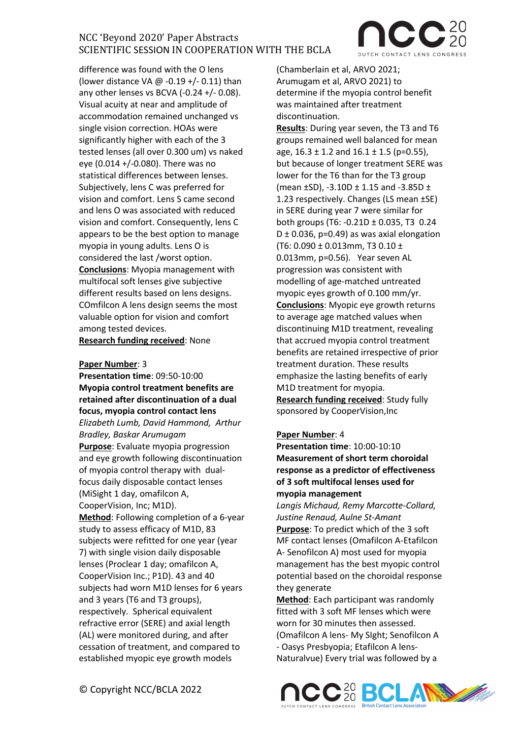difference was found with the O lens (lower distance VA @ -0.19 +/- 0.11) than any other lenses vs BCVA (-0.24 +/- 0.08). Visual acuity at near and amplitude of accommodation remained unchanged vs single vision correction. HOAs were significantly higher with each of the 3 tested lenses (all over 0.300 um) vs naked eye (0.014 +/-0.080). There was no statistical differences between lenses. Subjectively, lens C was preferred for vision and comfort. Lens S came second and lens O was associated with reduced vision and comfort. Consequently, lens C appears to be the best option to manage myopia in young adults. Lens O is considered the last /worst option. **Conclusions**: Myopia management with multifocal soft lenses give subjective different results based on lens designs. COmfilcon A lens design seems the most valuable option for vision and comfort among tested devices. **Research funding received**: None

### **Paper Number**: 3

**Presentation time**: 09:50-10:00 **Myopia control treatment benefits are retained after discontinuation of a dual focus, myopia control contact lens** *Elizabeth Lumb, David Hammond, Arthur Bradley, Baskar Arumugam*  **Purpose**: Evaluate myopia progression and eye growth following discontinuation of myopia control therapy with dualfocus daily disposable contact lenses (MiSight 1 day, omafilcon A, CooperVision, Inc; M1D). **Method**: Following completion of a 6-year study to assess efficacy of M1D, 83 subjects were refitted for one year (year 7) with single vision daily disposable lenses (Proclear 1 day; omafilcon A, CooperVision Inc.; P1D). 43 and 40 subjects had worn M1D lenses for 6 years and 3 years (T6 and T3 groups), respectively. Spherical equivalent refractive error (SERE) and axial length (AL) were monitored during, and after cessation of treatment, and compared to established myopic eye growth models

(Chamberlain et al, ARVO 2021; Arumugam et al, ARVO 2021) to determine if the myopia control benefit was maintained after treatment discontinuation.

**Results**: During year seven, the T3 and T6 groups remained well balanced for mean age,  $16.3 \pm 1.2$  and  $16.1 \pm 1.5$  (p=0.55), but because of longer treatment SERE was lower for the T6 than for the T3 group (mean  $\pm$ SD), -3.10D  $\pm$  1.15 and -3.85D  $\pm$ 1.23 respectively. Changes (LS mean ±SE) in SERE during year 7 were similar for both groups (T6: -0.21D ± 0.035, T3 0.24  $D \pm 0.036$ , p=0.49) as was axial elongation (T6: 0.090  $\pm$  0.013mm, T3 0.10  $\pm$ 0.013mm, p=0.56). Year seven AL progression was consistent with modelling of age-matched untreated myopic eyes growth of 0.100 mm/yr. **Conclusions**: Myopic eye growth returns to average age matched values when discontinuing M1D treatment, revealing that accrued myopia control treatment benefits are retained irrespective of prior treatment duration. These results emphasize the lasting benefits of early M1D treatment for myopia. **Research funding received**: Study fully sponsored by CooperVision,Inc

### **Paper Number**: 4

**Presentation time**: 10:00-10:10 **Measurement of short term choroidal response as a predictor of effectiveness of 3 soft multifocal lenses used for myopia management** 

*Langis Michaud, Remy Marcotte-Collard, Justine Renaud, Aulne St-Amant* **Purpose**: To predict which of the 3 soft MF contact lenses (Omafilcon A-Etafilcon A- Senofilcon A) most used for myopia management has the best myopic control potential based on the choroidal response they generate

**Method**: Each participant was randomly fitted with 3 soft MF lenses which were worn for 30 minutes then assessed. (Omafilcon A lens- My SIght; Senofilcon A - Oasys Presbyopia; Etafilcon A lens-Naturalvue) Every trial was followed by a



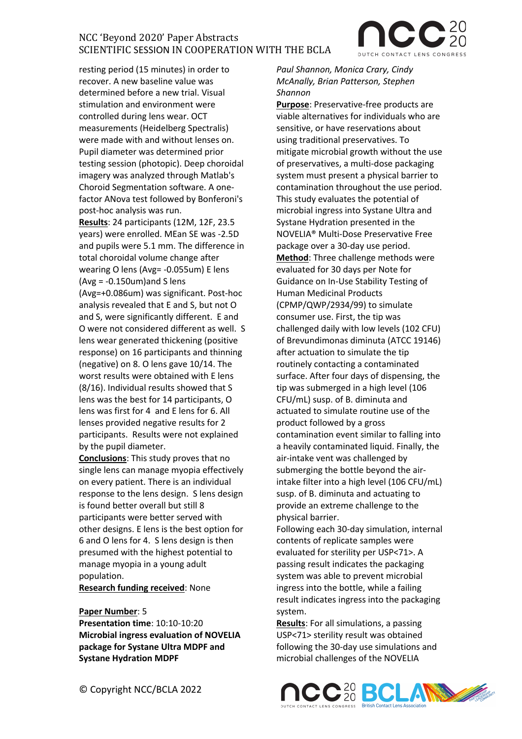resting period (15 minutes) in order to recover. A new baseline value was determined before a new trial. Visual stimulation and environment were controlled during lens wear. OCT measurements (Heidelberg Spectralis) were made with and without lenses on. Pupil diameter was determined prior testing session (photopic). Deep choroidal imagery was analyzed through Matlab's Choroid Segmentation software. A onefactor ANova test followed by Bonferoni's post-hoc analysis was run.

**Results**: 24 participants (12M, 12F, 23.5 years) were enrolled. MEan SE was -2.5D and pupils were 5.1 mm. The difference in total choroidal volume change after wearing O lens (Avg= -0.055um) E lens  $(Avg = -0.150um)$  and S lens (Avg=+0.086um) was significant. Post-hoc analysis revealed that E and S, but not O and S, were significantly different. E and O were not considered different as well. S lens wear generated thickening (positive response) on 16 participants and thinning (negative) on 8. O lens gave 10/14. The worst results were obtained with E lens (8/16). Individual results showed that S lens was the best for 14 participants, O lens was first for 4 and E lens for 6. All lenses provided negative results for 2 participants. Results were not explained by the pupil diameter.

**Conclusions**: This study proves that no single lens can manage myopia effectively on every patient. There is an individual response to the lens design. S lens design is found better overall but still 8 participants were better served with other designs. E lens is the best option for 6 and O lens for 4. S lens design is then presumed with the highest potential to manage myopia in a young adult population.

**Research funding received**: None

### **Paper Number**: 5

**Presentation time**: 10:10-10:20 **Microbial ingress evaluation of NOVELIA package for Systane Ultra MDPF and Systane Hydration MDPF** 

*Paul Shannon, Monica Crary, Cindy McAnally, Brian Patterson, Stephen Shannon*

**Purpose**: Preservative-free products are viable alternatives for individuals who are sensitive, or have reservations about using traditional preservatives. To mitigate microbial growth without the use of preservatives, a multi-dose packaging system must present a physical barrier to contamination throughout the use period. This study evaluates the potential of microbial ingress into Systane Ultra and Systane Hydration presented in the NOVELIA® Multi-Dose Preservative Free package over a 30-day use period. **Method**: Three challenge methods were evaluated for 30 days per Note for Guidance on In-Use Stability Testing of Human Medicinal Products (CPMP/QWP/2934/99) to simulate consumer use. First, the tip was challenged daily with low levels (102 CFU) of Brevundimonas diminuta (ATCC 19146) after actuation to simulate the tip routinely contacting a contaminated surface. After four days of dispensing, the tip was submerged in a high level (106 CFU/mL) susp. of B. diminuta and actuated to simulate routine use of the product followed by a gross contamination event similar to falling into a heavily contaminated liquid. Finally, the air-intake vent was challenged by submerging the bottle beyond the airintake filter into a high level (106 CFU/mL) susp. of B. diminuta and actuating to provide an extreme challenge to the physical barrier.

Following each 30-day simulation, internal contents of replicate samples were evaluated for sterility per USP<71>. A passing result indicates the packaging system was able to prevent microbial ingress into the bottle, while a failing result indicates ingress into the packaging system.

**Results**: For all simulations, a passing USP<71> sterility result was obtained following the 30-day use simulations and microbial challenges of the NOVELIA